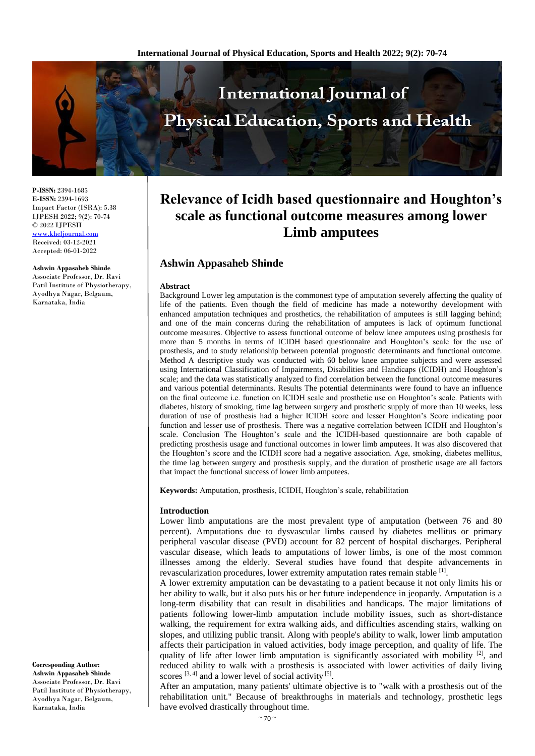

**P-ISSN:** 2394-1685 **E-ISSN:** 2394-1693 Impact Factor (ISRA): 5.38 IJPESH 2022; 9(2): 70-74 © 2022 IJPESH [www.kheljournal.com](http://www.kheljournal.com/) Received: 03-12-2021 Accepted: 06-01-2022

**Ashwin Appasaheb Shinde**

Associate Professor, Dr. Ravi Patil Institute of Physiotherapy, Ayodhya Nagar, Belgaum, Karnataka, India

**Relevance of Icidh based questionnaire and Houghton's scale as functional outcome measures among lower Limb amputees**

# **Ashwin Appasaheb Shinde**

#### **Abstract**

Background Lower leg amputation is the commonest type of amputation severely affecting the quality of life of the patients. Even though the field of medicine has made a noteworthy development with enhanced amputation techniques and prosthetics, the rehabilitation of amputees is still lagging behind; and one of the main concerns during the rehabilitation of amputees is lack of optimum functional outcome measures. Objective to assess functional outcome of below knee amputees using prosthesis for more than 5 months in terms of ICIDH based questionnaire and Houghton's scale for the use of prosthesis, and to study relationship between potential prognostic determinants and functional outcome. Method A descriptive study was conducted with 60 below knee amputee subjects and were assessed using International Classification of Impairments, Disabilities and Handicaps (ICIDH) and Houghton's scale; and the data was statistically analyzed to find correlation between the functional outcome measures and various potential determinants. Results The potential determinants were found to have an influence on the final outcome i.e. function on ICIDH scale and prosthetic use on Houghton's scale. Patients with diabetes, history of smoking, time lag between surgery and prosthetic supply of more than 10 weeks, less duration of use of prosthesis had a higher ICIDH score and lesser Houghton's Score indicating poor function and lesser use of prosthesis. There was a negative correlation between ICIDH and Houghton's scale. Conclusion The Houghton's scale and the ICIDH-based questionnaire are both capable of predicting prosthesis usage and functional outcomes in lower limb amputees. It was also discovered that the Houghton's score and the ICIDH score had a negative association. Age, smoking, diabetes mellitus, the time lag between surgery and prosthesis supply, and the duration of prosthetic usage are all factors that impact the functional success of lower limb amputees.

**Keywords:** Amputation, prosthesis, ICIDH, Houghton's scale, rehabilitation

#### **Introduction**

Lower limb amputations are the most prevalent type of amputation (between 76 and 80 percent). Amputations due to dysvascular limbs caused by diabetes mellitus or primary peripheral vascular disease (PVD) account for 82 percent of hospital discharges. Peripheral vascular disease, which leads to amputations of lower limbs, is one of the most common illnesses among the elderly. Several studies have found that despite advancements in revascularization procedures, lower extremity amputation rates remain stable [1].

A lower extremity amputation can be devastating to a patient because it not only limits his or her ability to walk, but it also puts his or her future independence in jeopardy. Amputation is a long-term disability that can result in disabilities and handicaps. The major limitations of patients following lower-limb amputation include mobility issues, such as short-distance walking, the requirement for extra walking aids, and difficulties ascending stairs, walking on slopes, and utilizing public transit. Along with people's ability to walk, lower limb amputation affects their participation in valued activities, body image perception, and quality of life. The quality of life after lower limb amputation is significantly associated with mobility  $[2]$ , and reduced ability to walk with a prosthesis is associated with lower activities of daily living scores  $[3, 4]$  and a lower level of social activity  $[5]$ .

After an amputation, many patients' ultimate objective is to "walk with a prosthesis out of the rehabilitation unit." Because of breakthroughs in materials and technology, prosthetic legs have evolved drastically throughout time.

**Corresponding Author: Ashwin Appasaheb Shinde** Associate Professor, Dr. Ravi Patil Institute of Physiotherapy, Ayodhya Nagar, Belgaum, Karnataka, India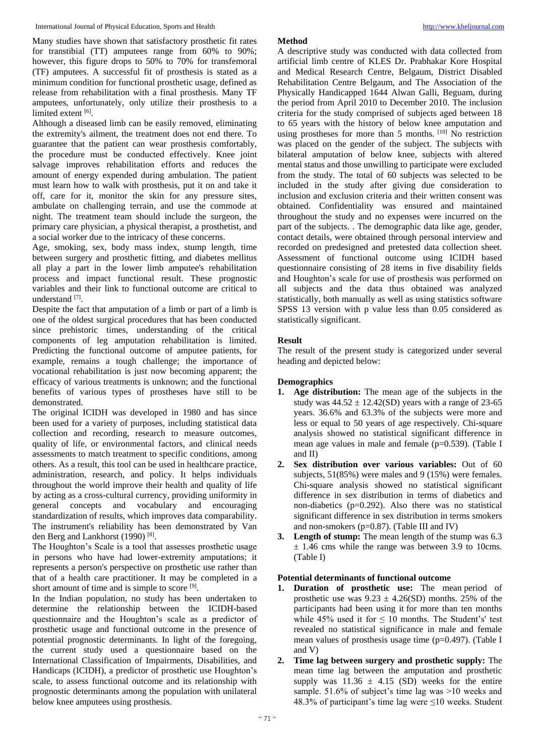Many studies have shown that satisfactory prosthetic fit rates for transtibial (TT) amputees range from 60% to 90%; however, this figure drops to 50% to 70% for transfemoral (TF) amputees. A successful fit of prosthesis is stated as a minimum condition for functional prosthetic usage, defined as release from rehabilitation with a final prosthesis. Many TF amputees, unfortunately, only utilize their prosthesis to a limited extent [6].

Although a diseased limb can be easily removed, eliminating the extremity's ailment, the treatment does not end there. To guarantee that the patient can wear prosthesis comfortably, the procedure must be conducted effectively. Knee joint salvage improves rehabilitation efforts and reduces the amount of energy expended during ambulation. The patient must learn how to walk with prosthesis, put it on and take it off, care for it, monitor the skin for any pressure sites, ambulate on challenging terrain, and use the commode at night. The treatment team should include the surgeon, the primary care physician, a physical therapist, a prosthetist, and a social worker due to the intricacy of these concerns.

Age, smoking, sex, body mass index, stump length, time between surgery and prosthetic fitting, and diabetes mellitus all play a part in the lower limb amputee's rehabilitation process and impact functional result. These prognostic variables and their link to functional outcome are critical to understand [7].

Despite the fact that amputation of a limb or part of a limb is one of the oldest surgical procedures that has been conducted since prehistoric times, understanding of the critical components of leg amputation rehabilitation is limited. Predicting the functional outcome of amputee patients, for example, remains a tough challenge; the importance of vocational rehabilitation is just now becoming apparent; the efficacy of various treatments is unknown; and the functional benefits of various types of prostheses have still to be demonstrated.

The original ICIDH was developed in 1980 and has since been used for a variety of purposes, including statistical data collection and recording, research to measure outcomes, quality of life, or environmental factors, and clinical needs assessments to match treatment to specific conditions, among others. As a result, this tool can be used in healthcare practice, administration, research, and policy. It helps individuals throughout the world improve their health and quality of life by acting as a cross-cultural currency, providing uniformity in general concepts and vocabulary and encouraging standardization of results, which improves data comparability. The instrument's reliability has been demonstrated by Van den Berg and Lankhorst (1990)<sup>[8]</sup>.

The Houghton's Scale is a tool that assesses prosthetic usage in persons who have had lower-extremity amputations; it represents a person's perspective on prosthetic use rather than that of a health care practitioner. It may be completed in a short amount of time and is simple to score [9].

In the Indian population, no study has been undertaken to determine the relationship between the ICIDH-based questionnaire and the Houghton's scale as a predictor of prosthetic usage and functional outcome in the presence of potential prognostic determinants. In light of the foregoing, the current study used a questionnaire based on the International Classification of Impairments, Disabilities, and Handicaps (ICIDH), a predictor of prosthetic use Houghton's scale, to assess functional outcome and its relationship with prognostic determinants among the population with unilateral below knee amputees using prosthesis.

# **Method**

A descriptive study was conducted with data collected from artificial limb centre of KLES Dr. Prabhakar Kore Hospital and Medical Research Centre, Belgaum, District Disabled Rehabilitation Centre Belgaum, and The Association of the Physically Handicapped 1644 Alwan Galli, Beguam, during the period from April 2010 to December 2010. The inclusion criteria for the study comprised of subjects aged between 18 to 65 years with the history of below knee amputation and using prostheses for more than  $5$  months.  $[10]$  No restriction was placed on the gender of the subject. The subjects with bilateral amputation of below knee, subjects with altered mental status and those unwilling to participate were excluded from the study. The total of 60 subjects was selected to be included in the study after giving due consideration to inclusion and exclusion criteria and their written consent was obtained. Confidentiality was ensured and maintained throughout the study and no expenses were incurred on the part of the subjects. . The demographic data like age, gender, contact details, were obtained through personal interview and recorded on predesigned and pretested data collection sheet. Assessment of functional outcome using ICIDH based questionnaire consisting of 28 items in five disability fields and Houghton's scale for use of prosthesis was performed on all subjects and the data thus obtained was analyzed statistically, both manually as well as using statistics software SPSS 13 version with p value less than 0.05 considered as statistically significant.

# **Result**

The result of the present study is categorized under several heading and depicted below:

# **Demographics**

- **1. Age distribution:** The mean age of the subjects in the study was  $44.52 \pm 12.42(SD)$  years with a range of 23-65 years. 36.6% and 63.3% of the subjects were more and less or equal to 50 years of age respectively. Chi-square analysis showed no statistical significant difference in mean age values in male and female (p=0.539). (Table I and II)
- **2. Sex distribution over various variables:** Out of 60 subjects, 51(85%) were males and 9 (15%) were females. Chi-square analysis showed no statistical significant difference in sex distribution in terms of diabetics and non-diabetics (p=0.292). Also there was no statistical significant difference in sex distribution in terms smokers and non-smokers ( $p=0.87$ ). (Table III and IV)
- **3. Length of stump:** The mean length of the stump was 6.3  $\pm$  1.46 cms while the range was between 3.9 to 10cms. (Table I)

## **Potential determinants of functional outcome**

- **1. Duration of prosthetic use:** The mean period of prosthetic use was  $9.23 \pm 4.26(SD)$  months. 25% of the participants had been using it for more than ten months while  $45\%$  used it for  $\leq 10$  months. The Student's' test revealed no statistical significance in male and female mean values of prosthesis usage time (p=0.497). (Table I and V)
- **2. Time lag between surgery and prosthetic supply:** The mean time lag between the amputation and prosthetic supply was  $11.36 \pm 4.15$  (SD) weeks for the entire sample. 51.6% of subject's time lag was >10 weeks and 48.3% of participant's time lag were  $\leq 10$  weeks. Student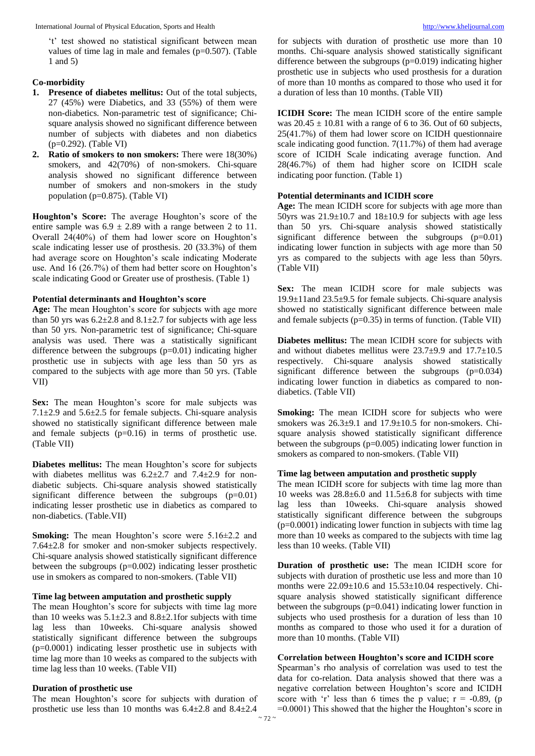't' test showed no statistical significant between mean values of time lag in male and females (p=0.507). (Table 1 and 5)

### **Co-morbidity**

- **1. Presence of diabetes mellitus:** Out of the total subjects, 27 (45%) were Diabetics, and 33 (55%) of them were non-diabetics. Non-parametric test of significance; Chisquare analysis showed no significant difference between number of subjects with diabetes and non diabetics (p=0.292). (Table VI)
- **2. Ratio of smokers to non smokers:** There were 18(30%) smokers, and  $42(70%)$  of non-smokers. Chi-square analysis showed no significant difference between number of smokers and non-smokers in the study population (p=0.875). (Table VI)

**Houghton's Score:** The average Houghton's score of the entire sample was  $6.9 \pm 2.89$  with a range between 2 to 11. Overall 24(40%) of them had lower score on Houghton's scale indicating lesser use of prosthesis. 20 (33.3%) of them had average score on Houghton's scale indicating Moderate use. And 16 (26.7%) of them had better score on Houghton's scale indicating Good or Greater use of prosthesis. (Table 1)

### **Potential determinants and Houghton's score**

**Age:** The mean Houghton's score for subjects with age more than 50 yrs was  $6.2\pm2.8$  and  $8.1\pm2.7$  for subjects with age less than 50 yrs. Non-parametric test of significance; Chi-square analysis was used. There was a statistically significant difference between the subgroups  $(p=0.01)$  indicating higher prosthetic use in subjects with age less than 50 yrs as compared to the subjects with age more than 50 yrs. (Table VII)

Sex: The mean Houghton's score for male subjects was 7.1 $\pm$ 2.9 and 5.6 $\pm$ 2.5 for female subjects. Chi-square analysis showed no statistically significant difference between male and female subjects (p=0.16) in terms of prosthetic use. (Table VII)

**Diabetes mellitus:** The mean Houghton's score for subjects with diabetes mellitus was  $6.2 \pm 2.7$  and  $7.4 \pm 2.9$  for nondiabetic subjects. Chi-square analysis showed statistically significant difference between the subgroups (p=0.01) indicating lesser prosthetic use in diabetics as compared to non-diabetics. (Table.VII)

**Smoking:** The mean Houghton's score were 5.16±2.2 and 7.64±2.8 for smoker and non-smoker subjects respectively. Chi-square analysis showed statistically significant difference between the subgroups (p=0.002) indicating lesser prosthetic use in smokers as compared to non-smokers. (Table VII)

#### **Time lag between amputation and prosthetic supply**

The mean Houghton's score for subjects with time lag more than 10 weeks was  $5.1 \pm 2.3$  and  $8.8 \pm 2.1$  for subjects with time lag less than 10weeks. Chi-square analysis showed statistically significant difference between the subgroups (p=0.0001) indicating lesser prosthetic use in subjects with time lag more than 10 weeks as compared to the subjects with time lag less than 10 weeks. (Table VII)

### **Duration of prosthetic use**

The mean Houghton's score for subjects with duration of prosthetic use less than 10 months was 6.4±2.8 and 8.4±2.4

for subjects with duration of prosthetic use more than 10 months. Chi-square analysis showed statistically significant difference between the subgroups (p=0.019) indicating higher prosthetic use in subjects who used prosthesis for a duration of more than 10 months as compared to those who used it for a duration of less than 10 months. (Table VII)

**ICIDH Score:** The mean ICIDH score of the entire sample was  $20.45 \pm 10.81$  with a range of 6 to 36. Out of 60 subjects, 25(41.7%) of them had lower score on ICIDH questionnaire scale indicating good function. 7(11.7%) of them had average score of ICIDH Scale indicating average function. And 28(46.7%) of them had higher score on ICIDH scale indicating poor function. (Table 1)

#### **Potential determinants and ICIDH score**

**Age:** The mean ICIDH score for subjects with age more than 50yrs was  $21.9 \pm 10.7$  and  $18 \pm 10.9$  for subjects with age less than 50 yrs. Chi-square analysis showed statistically significant difference between the subgroups (p=0.01) indicating lower function in subjects with age more than 50 yrs as compared to the subjects with age less than 50yrs. (Table VII)

Sex: The mean ICIDH score for male subjects was 19.9±11and 23.5±9.5 for female subjects. Chi-square analysis showed no statistically significant difference between male and female subjects  $(p=0.35)$  in terms of function. (Table VII)

**Diabetes mellitus:** The mean ICIDH score for subjects with and without diabetes mellitus were  $23.7\pm9.9$  and  $17.7\pm10.5$ respectively. Chi-square analysis showed statistically significant difference between the subgroups  $(p=0.034)$ indicating lower function in diabetics as compared to nondiabetics. (Table VII)

**Smoking:** The mean ICIDH score for subjects who were smokers was  $26.3\pm9.1$  and  $17.9\pm10.5$  for non-smokers. Chisquare analysis showed statistically significant difference between the subgroups  $(p=0.005)$  indicating lower function in smokers as compared to non-smokers. (Table VII)

#### **Time lag between amputation and prosthetic supply**

The mean ICIDH score for subjects with time lag more than 10 weeks was 28.8±6.0 and 11.5±6.8 for subjects with time lag less than 10weeks. Chi-square analysis showed statistically significant difference between the subgroups (p=0.0001) indicating lower function in subjects with time lag more than 10 weeks as compared to the subjects with time lag less than 10 weeks. (Table VII)

**Duration of prosthetic use:** The mean ICIDH score for subjects with duration of prosthetic use less and more than 10 months were  $22.09 \pm 10.6$  and  $15.53 \pm 10.04$  respectively. Chisquare analysis showed statistically significant difference between the subgroups  $(p=0.041)$  indicating lower function in subjects who used prosthesis for a duration of less than 10 months as compared to those who used it for a duration of more than 10 months. (Table VII)

#### **Correlation between Houghton's score and ICIDH score**

Spearman's rho analysis of correlation was used to test the data for co-relation. Data analysis showed that there was a negative correlation between Houghton's score and ICIDH score with 'r' less than 6 times the p value;  $r = -0.89$ , (p =0.0001) This showed that the higher the Houghton's score in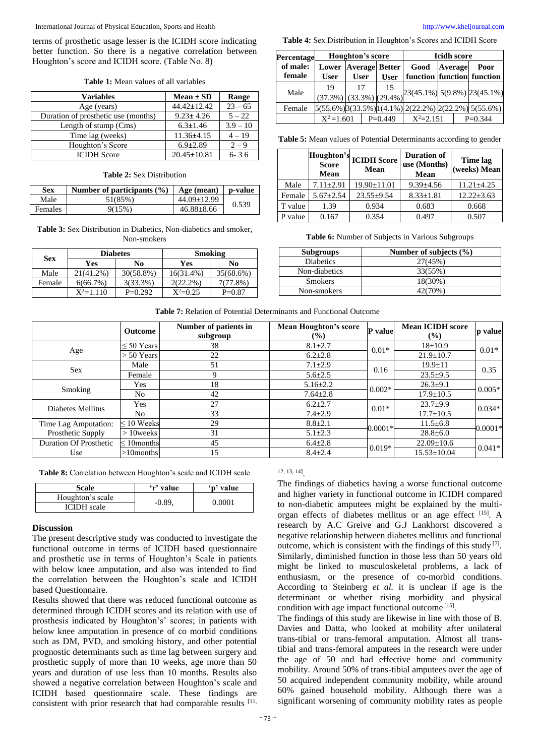International Journal of Physical Education, Sports and Health [http://www.kheljournal.com](http://www.kheljournal.com/)

terms of prosthetic usage lesser is the ICIDH score indicating better function. So there is a negative correlation between Houghton's score and ICIDH score. (Table No. 8)

| <b>Table 1:</b> Mean values of all variables |  |  |  |
|----------------------------------------------|--|--|--|
|----------------------------------------------|--|--|--|

| <b>Variables</b>                    | $Mean \pm SD$     | Range      |
|-------------------------------------|-------------------|------------|
| Age (years)                         | $44.42 \pm 12.42$ | $23 - 65$  |
| Duration of prosthetic use (months) | $9.23 \pm 4.26$   | $5 - 22$   |
| Length of stump (Cms)               | $6.3 \pm 1.46$    | $3.9 - 10$ |
| Time lag (weeks)                    | $11.36 \pm 4.15$  | $4 - 19$   |
| Houghton's Score                    | $6.9 \pm 2.89$    | $2 - 9$    |
| <b>ICIDH</b> Score                  | $20.45 \pm 10.81$ | $6 - 36$   |

### **Table 2:** Sex Distribution

| <b>Sex</b> | Number of participants $(\% )$ | Age (mean)        | p-value |
|------------|--------------------------------|-------------------|---------|
| Male       | 51(85%)                        | $44.09 \pm 12.99$ | 0.539   |
| Females    | 9(15%)                         | $46.88 \pm 8.66$  |         |

### **Table 3:** Sex Distribution in Diabetics, Non-diabetics and smoker, Non-smokers

| <b>Diabetes</b> |             |              | <b>Smoking</b> |           |  |
|-----------------|-------------|--------------|----------------|-----------|--|
| <b>Sex</b>      | Yes         | No           | Yes            | No.       |  |
| Male            | 21(41.2%)   | $30(58.8\%)$ | $16(31.4\%)$   | 35(68.6%) |  |
| Female          | 6(66.7%)    | 3(33.3%)     | $2(22.2\%)$    | 7(77.8%)  |  |
|                 | $X^2=1.110$ | $P=0.292$    | $X^2=0.25$     | $P=0.87$  |  |

**Table 4:** Sex Distribution in Houghton's Scores and ICIDH Score

| Percentage         | Houghton's score                       |             | <b>Icidh score</b>                         |                                                                        |         |  |                                |
|--------------------|----------------------------------------|-------------|--------------------------------------------|------------------------------------------------------------------------|---------|--|--------------------------------|
| of male:<br>female | <b>User</b>                            | <b>User</b> | <b>Lower Average Better</b><br><b>User</b> | Good<br>function function function                                     | Average |  | Poor                           |
| Male               | 19<br>$(37.3\%)$ $(33.3\%)$ $(29.4\%)$ | 17          | 15                                         |                                                                        |         |  | $23(45.1\%)$ 5(9.8%) 23(45.1%) |
| Female             |                                        |             |                                            | $5(55.6\%)$ $3(33.5\%)$ $1(4.1\%)$ $2(22.2\%)$ $2(22.2\%)$ $5(55.6\%)$ |         |  |                                |
|                    | $X^2 = 1.601$                          |             | $P=0.449$                                  | $X^2 = 2.151$                                                          |         |  | $P=0.344$                      |

**Table 5:** Mean values of Potential Determinants according to gender

|         | Score<br><b>Mean</b> | Houghton's ICIDH Score<br><b>Mean</b> | <b>Duration of</b><br>use (Months)<br>Mean | Time lag<br>(weeks) Mean |
|---------|----------------------|---------------------------------------|--------------------------------------------|--------------------------|
| Male    | $7.11 \pm 2.91$      | $19.90 \pm 11.01$                     | $9.39 \pm 4.56$                            | $11.21 \pm 4.25$         |
| Female  | $5.67 \pm 2.54$      | $23.55 \pm 9.54$                      | $8.33 \pm 1.81$                            | $12.22 \pm 3.63$         |
| T value | 1.39                 | 0.934                                 | 0.683                                      | 0.668                    |
| value   | 0.167                | 0.354                                 | 0.497                                      | 0.507                    |

**Table 6:** Number of Subjects in Various Subgroups

| <b>Subgroups</b> | Number of subjects $(\% )$ |
|------------------|----------------------------|
| <b>Diabetics</b> | 27(45%)                    |
| Non-diabetics    | 33(55%)                    |
| <b>Smokers</b>   | 18(30%)                    |
| Non-smokers      | 42(70%)                    |

|                               | <b>Outcome</b>   | Number of patients in<br>subgroup | <b>Mean Houghton's score</b><br>$(\%)$ | <b>P</b> value | <b>Mean ICIDH</b> score<br>$\frac{9}{6}$ | p value   |  |
|-------------------------------|------------------|-----------------------------------|----------------------------------------|----------------|------------------------------------------|-----------|--|
|                               | $\leq 50$ Years  | 38                                | $8.1 \pm 2.7$                          | $0.01*$        | $18 \pm 10.9$                            | $0.01*$   |  |
| Age                           | $> 50$ Years     | 22                                | $6.2 \pm 2.8$                          |                | $21.9 \pm 10.7$                          |           |  |
| Sex                           | Male             | 51                                | $7.1 \pm 2.9$                          | 0.16           | $19.9 \pm 11$                            | 0.35      |  |
|                               | Female           | 9                                 | $5.6 \pm 2.5$                          |                | $23.5+9.5$                               |           |  |
| Smoking                       | Yes              | 18                                | $5.16 \pm 2.2$                         | $0.002*$       | $26.3 \pm 9.1$                           | $0.005*$  |  |
|                               | N <sub>o</sub>   | 42                                | $7.64 \pm 2.8$                         |                | $17.9 \pm 10.5$                          |           |  |
| Diabetes Mellitus             | Yes              | 27                                | $6.2 \pm 2.7$                          | $0.01*$        | $23.7+9.9$                               | $0.034*$  |  |
|                               | N <sub>o</sub>   | 33                                | $7.4 \pm 2.9$                          |                | $17.7 \pm 10.5$                          |           |  |
| Time Lag Amputation:          | $\leq 10$ Weeks  | 29                                | $8.8 \pm 2.1$                          | $0.0001*$      | $11.5 \pm 6.8$                           | $0.0001*$ |  |
| Prosthetic Supply             | $>10$ weeks      | 31                                | $5.1 \pm 2.3$                          |                | $28.8 \pm 6.0$                           |           |  |
| <b>Duration Of Prosthetic</b> | $\leq 10$ months | 45                                | $6.4 \pm 2.8$                          | $0.019*$       | $22.09 \pm 10.6$                         | $0.041*$  |  |
| Use                           | $>10$ months     | 15                                | $8.4 \pm 2.4$                          |                | $15.53 \pm 10.04$                        |           |  |

**Table 8:** Correlation between Houghton's scale and ICIDH scale

| Scale              | 'r' value | 'p' value     |
|--------------------|-----------|---------------|
| Houghton's scale   |           | <u>N 0001</u> |
| <b>ICIDH</b> scale | $-0.89$   |               |

### **Discussion**

The present descriptive study was conducted to investigate the functional outcome in terms of ICIDH based questionnaire and prosthetic use in terms of Houghton's Scale in patients with below knee amputation, and also was intended to find the correlation between the Houghton's scale and ICIDH based Questionnaire.

Results showed that there was reduced functional outcome as determined through ICIDH scores and its relation with use of prosthesis indicated by Houghton's' scores; in patients with below knee amputation in presence of co morbid conditions such as DM, PVD, and smoking history, and other potential prognostic determinants such as time lag between surgery and prosthetic supply of more than 10 weeks, age more than 50 years and duration of use less than 10 months. Results also showed a negative correlation between Houghton's scale and ICIDH based questionnaire scale. These findings are consistent with prior research that had comparable results [11,

# 12, 13, 14] .

The findings of diabetics having a worse functional outcome and higher variety in functional outcome in ICIDH compared to non-diabetic amputees might be explained by the multiorgan effects of diabetes mellitus or an age effect [15]. A research by A.C Greive and G.J Lankhorst discovered a negative relationship between diabetes mellitus and functional outcome, which is consistent with the findings of this study [7] . Similarly, diminished function in those less than 50 years old might be linked to musculoskeletal problems, a lack of enthusiasm, or the presence of co-morbid conditions. According to Steinberg *et al.* it is unclear if age is the determinant or whether rising morbidity and physical condition with age impact functional outcome<sup>[15]</sup>.

The findings of this study are likewise in line with those of B. Davies and Datta, who looked at mobility after unilateral trans-tibial or trans-femoral amputation. Almost all transtibial and trans-femoral amputees in the research were under the age of 50 and had effective home and community mobility. Around 50% of trans-tibial amputees over the age of 50 acquired independent community mobility, while around 60% gained household mobility. Although there was a significant worsening of community mobility rates as people